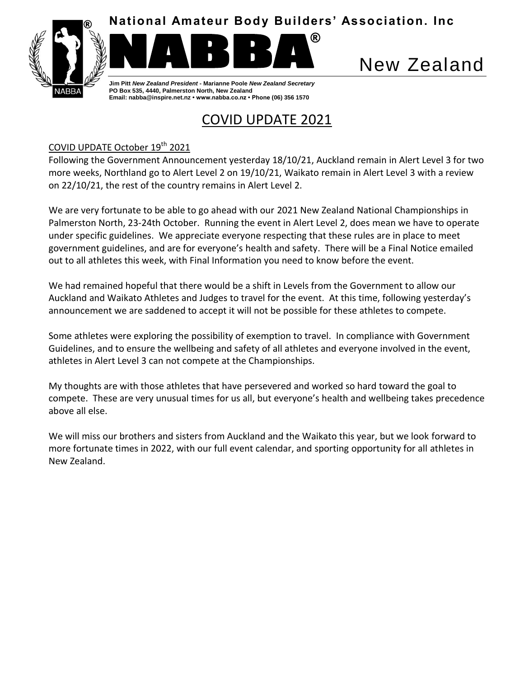

**National Amateur Body Builders' Association. Inc**



®

New Zealand

**Jim Pitt** *New Zealand President* **- Marianne Poole** *New Zealand Secretary* **PO Box 535, 4440, Palmerston North, New Zealand Email: nabba@inspire.net.nz • www.nabba.co.nz • Phone (06) 356 1570**

# COVID UPDATE 2021

# COVID UPDATE October 19<sup>th</sup> 2021

Following the Government Announcement yesterday 18/10/21, Auckland remain in Alert Level 3 for two more weeks, Northland go to Alert Level 2 on 19/10/21, Waikato remain in Alert Level 3 with a review on 22/10/21, the rest of the country remains in Alert Level 2.

We are very fortunate to be able to go ahead with our 2021 New Zealand National Championships in Palmerston North, 23-24th October. Running the event in Alert Level 2, does mean we have to operate under specific guidelines. We appreciate everyone respecting that these rules are in place to meet government guidelines, and are for everyone's health and safety. There will be a Final Notice emailed out to all athletes this week, with Final Information you need to know before the event.

We had remained hopeful that there would be a shift in Levels from the Government to allow our Auckland and Waikato Athletes and Judges to travel for the event. At this time, following yesterday's announcement we are saddened to accept it will not be possible for these athletes to compete.

Some athletes were exploring the possibility of exemption to travel. In compliance with Government Guidelines, and to ensure the wellbeing and safety of all athletes and everyone involved in the event, athletes in Alert Level 3 can not compete at the Championships.

My thoughts are with those athletes that have persevered and worked so hard toward the goal to compete. These are very unusual times for us all, but everyone's health and wellbeing takes precedence above all else.

We will miss our brothers and sisters from Auckland and the Waikato this year, but we look forward to more fortunate times in 2022, with our full event calendar, and sporting opportunity for all athletes in New Zealand.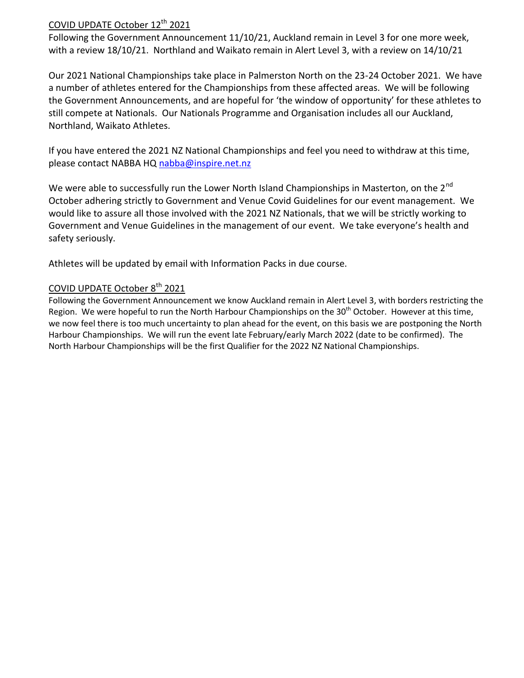### COVID UPDATE October 12<sup>th</sup> 2021

Following the Government Announcement 11/10/21, Auckland remain in Level 3 for one more week, with a review 18/10/21. Northland and Waikato remain in Alert Level 3, with a review on 14/10/21

Our 2021 National Championships take place in Palmerston North on the 23-24 October 2021. We have a number of athletes entered for the Championships from these affected areas. We will be following the Government Announcements, and are hopeful for 'the window of opportunity' for these athletes to still compete at Nationals. Our Nationals Programme and Organisation includes all our Auckland, Northland, Waikato Athletes.

If you have entered the 2021 NZ National Championships and feel you need to withdraw at this time, please contact NABBA HQ [nabba@inspire.net.nz](mailto:nabba@inspire.net.nz)

We were able to successfully run the Lower North Island Championships in Masterton, on the 2<sup>nd</sup> October adhering strictly to Government and Venue Covid Guidelines for our event management. We would like to assure all those involved with the 2021 NZ Nationals, that we will be strictly working to Government and Venue Guidelines in the management of our event. We take everyone's health and safety seriously.

Athletes will be updated by email with Information Packs in due course.

## COVID UPDATE October 8<sup>th</sup> 2021

Following the Government Announcement we know Auckland remain in Alert Level 3, with borders restricting the Region. We were hopeful to run the North Harbour Championships on the 30<sup>th</sup> October. However at this time, we now feel there is too much uncertainty to plan ahead for the event, on this basis we are postponing the North Harbour Championships. We will run the event late February/early March 2022 (date to be confirmed). The North Harbour Championships will be the first Qualifier for the 2022 NZ National Championships.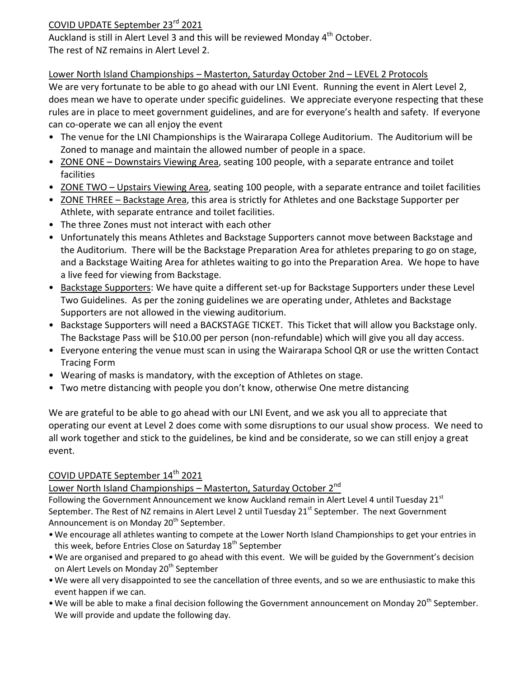#### COVID UPDATE September 23rd 2021

Auckland is still in Alert Level 3 and this will be reviewed Monday  $4^{\text{th}}$  October. The rest of NZ remains in Alert Level 2.

#### Lower North Island Championships – Masterton, Saturday October 2nd – LEVEL 2 Protocols

We are very fortunate to be able to go ahead with our LNI Event. Running the event in Alert Level 2, does mean we have to operate under specific guidelines. We appreciate everyone respecting that these rules are in place to meet government guidelines, and are for everyone's health and safety. If everyone can co-operate we can all enjoy the event

- The venue for the LNI Championships is the Wairarapa College Auditorium. The Auditorium will be Zoned to manage and maintain the allowed number of people in a space.
- ZONE ONE Downstairs Viewing Area, seating 100 people, with a separate entrance and toilet facilities
- ZONE TWO Upstairs Viewing Area, seating 100 people, with a separate entrance and toilet facilities
- ZONE THREE Backstage Area, this area is strictly for Athletes and one Backstage Supporter per Athlete, with separate entrance and toilet facilities.
- The three Zones must not interact with each other
- Unfortunately this means Athletes and Backstage Supporters cannot move between Backstage and the Auditorium. There will be the Backstage Preparation Area for athletes preparing to go on stage, and a Backstage Waiting Area for athletes waiting to go into the Preparation Area. We hope to have a live feed for viewing from Backstage.
- Backstage Supporters: We have quite a different set-up for Backstage Supporters under these Level Two Guidelines. As per the zoning guidelines we are operating under, Athletes and Backstage Supporters are not allowed in the viewing auditorium.
- Backstage Supporters will need a BACKSTAGE TICKET. This Ticket that will allow you Backstage only. The Backstage Pass will be \$10.00 per person (non-refundable) which will give you all day access.
- Everyone entering the venue must scan in using the Wairarapa School QR or use the written Contact Tracing Form
- Wearing of masks is mandatory, with the exception of Athletes on stage.
- Two metre distancing with people you don't know, otherwise One metre distancing

We are grateful to be able to go ahead with our LNI Event, and we ask you all to appreciate that operating our event at Level 2 does come with some disruptions to our usual show process. We need to all work together and stick to the guidelines, be kind and be considerate, so we can still enjoy a great event.

#### COVID UPDATE September 14<sup>th</sup> 2021

#### Lower North Island Championships – Masterton, Saturday October 2<sup>nd</sup>

Following the Government Announcement we know Auckland remain in Alert Level 4 until Tuesday 21st September. The Rest of NZ remains in Alert Level 2 until Tuesday 21<sup>st</sup> September. The next Government Announcement is on Monday 20<sup>th</sup> September.

- •We encourage all athletes wanting to compete at the Lower North Island Championships to get your entries in this week, before Entries Close on Saturday 18<sup>th</sup> September
- •We are organised and prepared to go ahead with this event. We will be guided by the Government's decision on Alert Levels on Monday 20<sup>th</sup> September
- •We were all very disappointed to see the cancellation of three events, and so we are enthusiastic to make this event happen if we can.
- We will be able to make a final decision following the Government announcement on Monday 20<sup>th</sup> September. We will provide and update the following day.